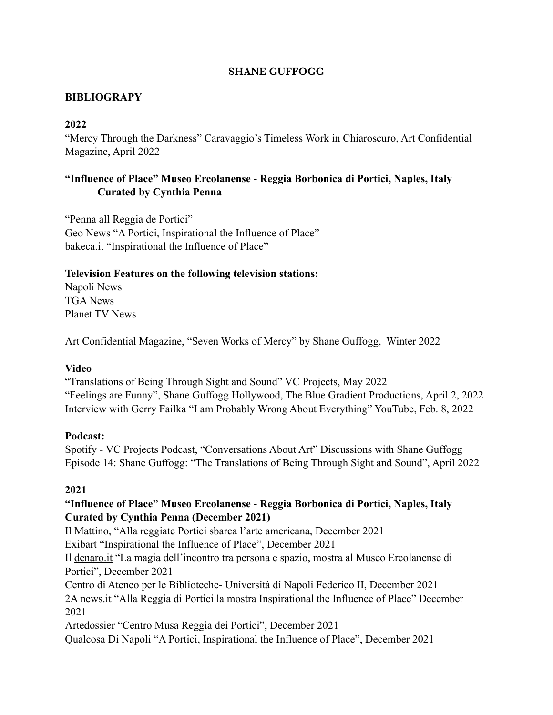#### **SHANE GUFFOGG**

## **BIBLIOGRAPY**

#### **2022**

"Mercy Through the Darkness" Caravaggio's Timeless Work in Chiaroscuro, Art Confidential Magazine, April 2022

## **"Influence of Place" Museo Ercolanense - Reggia Borbonica di Portici, Naples, Italy Curated by Cynthia Penna**

"Penna all Reggia de Portici" Geo News "A Portici, Inspirational the Influence of Place" [bakeca.it](http://bakeca.it) "Inspirational the Influence of Place"

#### **Television Features on the following television stations:**

Napoli News TGA News Planet TV News

Art Confidential Magazine, "Seven Works of Mercy" by Shane Guffogg, Winter 2022

#### **Video**

"Translations of Being Through Sight and Sound" VC Projects, May 2022 "Feelings are Funny", Shane Guffogg Hollywood, The Blue Gradient Productions, April 2, 2022 Interview with Gerry Failka "I am Probably Wrong About Everything" YouTube, Feb. 8, 2022

#### **Podcast:**

Spotify - VC Projects Podcast, "Conversations About Art" Discussions with Shane Guffogg Episode 14: Shane Guffogg: "The Translations of Being Through Sight and Sound", April 2022

#### **2021**

### **"Influence of Place" Museo Ercolanense - Reggia Borbonica di Portici, Naples, Italy Curated by Cynthia Penna (December 2021)**

Il Mattino, "Alla reggiate Portici sbarca l'arte americana, December 2021

Exibart "Inspirational the Influence of Place", December 2021

Il [denaro.it](http://denaro.it) "La magia dell'incontro tra persona e spazio, mostra al Museo Ercolanense di Portici", December 2021

Centro di Ateneo per le Biblioteche- Università di Napoli Federico II, December 2021

2A [news.it](http://news.it) "Alla Reggia di Portici la mostra Inspirational the Influence of Place" December 2021

Artedossier "Centro Musa Reggia dei Portici", December 2021

Qualcosa Di Napoli "A Portici, Inspirational the Influence of Place", December 2021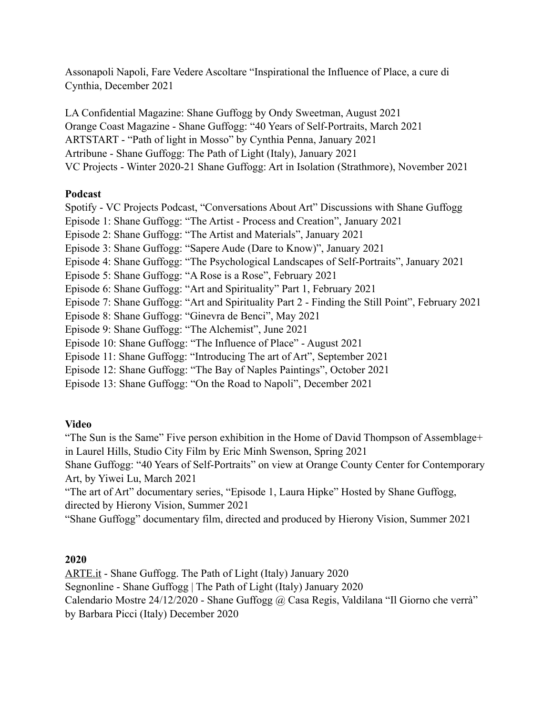Assonapoli Napoli, Fare Vedere Ascoltare "Inspirational the Influence of Place, a cure di Cynthia, December 2021

LA Confidential Magazine: Shane Guffogg by Ondy Sweetman, August 2021 Orange Coast Magazine - Shane Guffogg: "40 Years of Self-Portraits, March 2021 ARTSTART - "Path of light in Mosso" by Cynthia Penna, January 2021 Artribune - Shane Guffogg: The Path of Light (Italy), January 2021 VC Projects - Winter 2020-21 Shane Guffogg: Art in Isolation (Strathmore), November 2021

#### **Podcast**

Spotify - VC Projects Podcast, "Conversations About Art" Discussions with Shane Guffogg Episode 1: Shane Guffogg: "The Artist - Process and Creation", January 2021 Episode 2: Shane Guffogg: "The Artist and Materials", January 2021 Episode 3: Shane Guffogg: "Sapere Aude (Dare to Know)", January 2021 Episode 4: Shane Guffogg: "The Psychological Landscapes of Self-Portraits", January 2021 Episode 5: Shane Guffogg: "A Rose is a Rose", February 2021 Episode 6: Shane Guffogg: "Art and Spirituality" Part 1, February 2021 Episode 7: Shane Guffogg: "Art and Spirituality Part 2 - Finding the Still Point", February 2021 Episode 8: Shane Guffogg: "Ginevra de Benci", May 2021 Episode 9: Shane Guffogg: "The Alchemist", June 2021 Episode 10: Shane Guffogg: "The Influence of Place" - August 2021 Episode 11: Shane Guffogg: "Introducing The art of Art", September 2021 Episode 12: Shane Guffogg: "The Bay of Naples Paintings", October 2021

Episode 13: Shane Guffogg: "On the Road to Napoli", December 2021

#### **Video**

"The Sun is the Same" Five person exhibition in the Home of David Thompson of Assemblage+ in Laurel Hills, Studio City Film by Eric Minh Swenson, Spring 2021

Shane Guffogg: "40 Years of Self-Portraits" on view at Orange County Center for Contemporary Art, by Yiwei Lu, March 2021

"The art of Art" documentary series, "Episode 1, Laura Hipke" Hosted by Shane Guffogg, directed by Hierony Vision, Summer 2021

"Shane Guffogg" documentary film, directed and produced by Hierony Vision, Summer 2021

#### **2020**

[ARTE.it](http://ARTE.it) - Shane Guffogg. The Path of Light (Italy) January 2020 Segnonline - Shane Guffogg | The Path of Light (Italy) January 2020 Calendario Mostre 24/12/2020 - Shane Guffogg @ Casa Regis, Valdilana "Il Giorno che verrà" by Barbara Picci (Italy) December 2020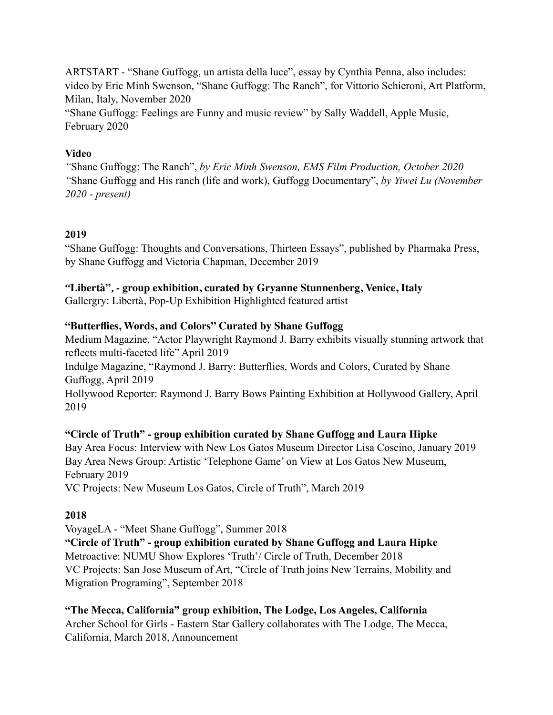ARTSTART - "Shane Guffogg, un artista della luce", essay by Cynthia Penna, also includes: video by Eric Minh Swenson, "Shane Guffogg: The Ranch", for Vittorio Schieroni, Art Platform, Milan, Italy, November 2020

"Shane Guffogg: Feelings are Funny and music review" by Sally Waddell, Apple Music, February 2020

### **Video**

*"*Shane Guffogg: The Ranch", *by Eric Minh Swenson, EMS Film Production, October 2020 "*Shane Guffogg and His ranch (life and work), Guffogg Documentary", *by Yiwei Lu (November 2020 - present)* 

## **2019**

"Shane Guffogg: Thoughts and Conversations, Thirteen Essays", published by Pharmaka Press, by Shane Guffogg and Victoria Chapman, December 2019

### *"***Libertà"***, -* **group exhibition, curated by Gryanne Stunnenberg, Venice, Italy**

Gallergry: Libertà, Pop-Up Exhibition Highlighted featured artist

### **"Butterflies, Words, and Colors" Curated by Shane Guffogg**

Medium Magazine, "Actor Playwright Raymond J. Barry exhibits visually stunning artwork that reflects multi-faceted life" April 2019

Indulge Magazine, "Raymond J. Barry: Butterflies, Words and Colors, Curated by Shane Guffogg, April 2019

Hollywood Reporter: Raymond J. Barry Bows Painting Exhibition at Hollywood Gallery, April 2019

## **"Circle of Truth" - group exhibition curated by Shane Guffogg and Laura Hipke**

Bay Area Focus: Interview with New Los Gatos Museum Director Lisa Coscino, January 2019 Bay Area News Group: Artistic 'Telephone Game' on View at Los Gatos New Museum, February 2019

VC Projects: New Museum Los Gatos, Circle of Truth", March 2019

#### **2018**

VoyageLA - "Meet Shane Guffogg", Summer 2018

**"Circle of Truth" - group exhibition curated by Shane Guffogg and Laura Hipke**  Metroactive: NUMU Show Explores 'Truth'/ Circle of Truth, December 2018 VC Projects: San Jose Museum of Art, "Circle of Truth joins New Terrains, Mobility and Migration Programing", September 2018

**"The Mecca, California" group exhibition, The Lodge, Los Angeles, California**  Archer School for Girls - Eastern Star Gallery collaborates with The Lodge, The Mecca, California, March 2018, Announcement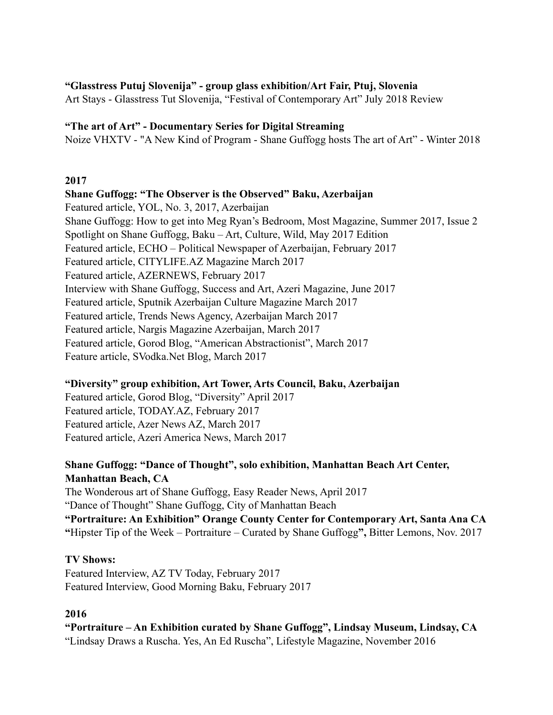#### **"Glasstress Putuj Slovenija" - group glass exhibition/Art Fair, Ptuj, Slovenia**

Art Stays - Glasstress Tut Slovenija, "Festival of Contemporary Art" July 2018 Review

#### **"The art of Art" - Documentary Series for Digital Streaming**

Noize VHXTV - "A New Kind of Program - Shane Guffogg hosts The art of Art" - Winter 2018

#### **2017**

**Shane Guffogg: "The Observer is the Observed" Baku, Azerbaijan**  Featured article, YOL, No. 3, 2017, Azerbaijan Shane Guffogg: How to get into Meg Ryan's Bedroom, Most Magazine, Summer 2017, Issue 2 Spotlight on Shane Guffogg, Baku – Art, Culture, Wild, May 2017 Edition Featured article, ECHO – Political Newspaper of Azerbaijan, February 2017 Featured article, CITYLIFE.AZ Magazine March 2017 Featured article, AZERNEWS, February 2017 Interview with Shane Guffogg, Success and Art, Azeri Magazine, June 2017 Featured article, Sputnik Azerbaijan Culture Magazine March 2017 Featured article, Trends News Agency, Azerbaijan March 2017 Featured article, Nargis Magazine Azerbaijan, March 2017 Featured article, Gorod Blog, "American Abstractionist", March 2017 Feature article, SVodka.Net Blog, March 2017

#### **"Diversity" group exhibition, Art Tower, Arts Council, Baku, Azerbaijan**

Featured article, Gorod Blog, "Diversity" April 2017 Featured article, TODAY.AZ, February 2017 Featured article, Azer News AZ, March 2017 Featured article, Azeri America News, March 2017

### **Shane Guffogg: "Dance of Thought", solo exhibition, Manhattan Beach Art Center, Manhattan Beach, CA**

The Wonderous art of Shane Guffogg, Easy Reader News, April 2017 "Dance of Thought" Shane Guffogg, City of Manhattan Beach **"Portraiture: An Exhibition" Orange County Center for Contemporary Art, Santa Ana CA "**Hipster Tip of the Week – Portraiture – Curated by Shane Guffogg**",** Bitter Lemons, Nov. 2017

#### **TV Shows:**

Featured Interview, AZ TV Today, February 2017 Featured Interview, Good Morning Baku, February 2017

## **2016**

**"Portraiture – An Exhibition curated by Shane Guffogg", Lindsay Museum, Lindsay, CA**  "Lindsay Draws a Ruscha. Yes, An Ed Ruscha", Lifestyle Magazine, November 2016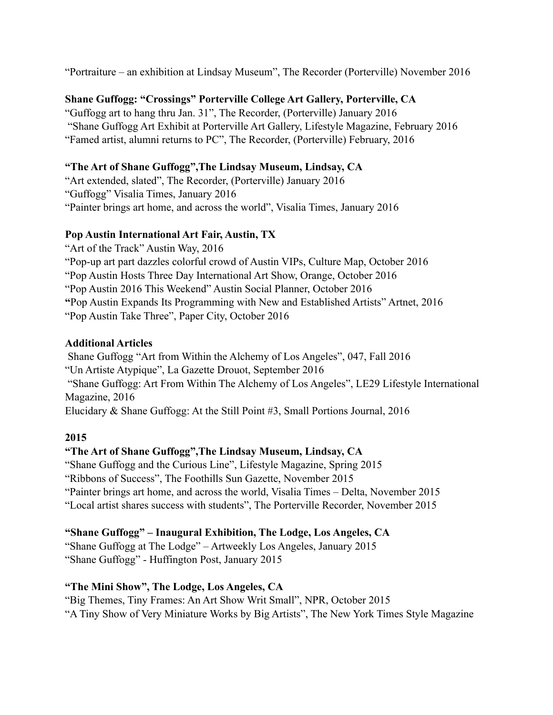"Portraiture – an exhibition at Lindsay Museum", The Recorder (Porterville) November 2016

## **Shane Guffogg: "Crossings" Porterville College Art Gallery, Porterville, CA**

"Guffogg art to hang thru Jan. 31", The Recorder, (Porterville) January 2016 "Shane Guffogg Art Exhibit at Porterville Art Gallery, Lifestyle Magazine, February 2016 "Famed artist, alumni returns to PC", The Recorder, (Porterville) February, 2016

## **"The Art of Shane Guffogg",The Lindsay Museum, Lindsay, CA**

"Art extended, slated", The Recorder, (Porterville) January 2016 "Guffogg" Visalia Times, January 2016 "Painter brings art home, and across the world", Visalia Times, January 2016

### **Pop Austin International Art Fair, Austin, TX**

"Art of the Track" Austin Way, 2016 "Pop-up art part dazzles colorful crowd of Austin VIPs, Culture Map, October 2016 "Pop Austin Hosts Three Day International Art Show, Orange, October 2016 "Pop Austin 2016 This Weekend" Austin Social Planner, October 2016 **"**Pop Austin Expands Its Programming with New and Established Artists" Artnet, 2016 "Pop Austin Take Three", Paper City, October 2016

## **Additional Articles**

 Shane Guffogg "Art from Within the Alchemy of Los Angeles", 047, Fall 2016 "Un Artiste Atypique", La Gazette Drouot, September 2016 "Shane Guffogg: Art From Within The Alchemy of Los Angeles", LE29 Lifestyle International Magazine, 2016 Elucidary & Shane Guffogg: At the Still Point #3, Small Portions Journal, 2016

## **2015**

## **"The Art of Shane Guffogg",The Lindsay Museum, Lindsay, CA**

"Shane Guffogg and the Curious Line", Lifestyle Magazine, Spring 2015 "Ribbons of Success", The Foothills Sun Gazette, November 2015 "Painter brings art home, and across the world, Visalia Times – Delta, November 2015 "Local artist shares success with students", The Porterville Recorder, November 2015

## **"Shane Guffogg" – Inaugural Exhibition, The Lodge, Los Angeles, CA**

"Shane Guffogg at The Lodge" – Artweekly Los Angeles, January 2015 "Shane Guffogg" - Huffington Post, January 2015

# **"The Mini Show", The Lodge, Los Angeles, CA**

"Big Themes, Tiny Frames: An Art Show Writ Small", NPR, October 2015 "A Tiny Show of Very Miniature Works by Big Artists", The New York Times Style Magazine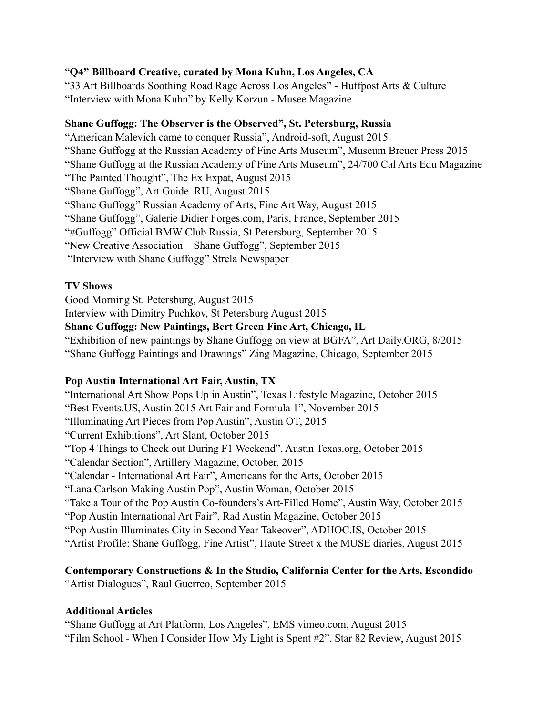### "**Q4" Billboard Creative, curated by Mona Kuhn, Los Angeles, CA**

"33 Art Billboards Soothing Road Rage Across Los Angeles**" -** Huffpost Arts & Culture "Interview with Mona Kuhn" by Kelly Korzun - Musee Magazine

#### **Shane Guffogg: The Observer is the Observed", St. Petersburg, Russia**

"American Malevich came to conquer Russia", Android-soft, August 2015 "Shane Guffogg at the Russian Academy of Fine Arts Museum", Museum Breuer Press 2015 "Shane Guffogg at the Russian Academy of Fine Arts Museum", 24/700 Cal Arts Edu Magazine "The Painted Thought", The Ex Expat, August 2015 "Shane Guffogg", Art Guide. RU, August 2015 "Shane Guffogg" Russian Academy of Arts, Fine Art Way, August 2015 "Shane Guffogg", Galerie Didier Forges.com, Paris, France, September 2015 "#Guffogg" Official BMW Club Russia, St Petersburg, September 2015 "New Creative Association – Shane Guffogg", September 2015 "Interview with Shane Guffogg" Strela Newspaper

### **TV Shows**

Good Morning St. Petersburg, August 2015

Interview with Dimitry Puchkov, St Petersburg August 2015

### **Shane Guffogg: New Paintings, Bert Green Fine Art, Chicago, IL**

"Exhibition of new paintings by Shane Guffogg on view at BGFA", Art Daily.ORG, 8/2015 "Shane Guffogg Paintings and Drawings" Zing Magazine, Chicago, September 2015

#### **Pop Austin International Art Fair, Austin, TX**

"International Art Show Pops Up in Austin", Texas Lifestyle Magazine, October 2015 "Best Events.US, Austin 2015 Art Fair and Formula 1", November 2015 "Illuminating Art Pieces from Pop Austin", Austin OT, 2015 "Current Exhibitions", Art Slant, October 2015 "Top 4 Things to Check out During F1 Weekend", Austin Texas.org, October 2015 "Calendar Section", Artillery Magazine, October, 2015 "Calendar - International Art Fair", Americans for the Arts, October 2015 "Lana Carlson Making Austin Pop", Austin Woman, October 2015 "Take a Tour of the Pop Austin Co-founders's Art-Filled Home", Austin Way, October 2015 "Pop Austin International Art Fair", Rad Austin Magazine, October 2015 "Pop Austin Illuminates City in Second Year Takeover", ADHOC.IS, October 2015 "Artist Profile: Shane Guffogg, Fine Artist", Haute Street x the MUSE diaries, August 2015

# **Contemporary Constructions & In the Studio, California Center for the Arts, Escondido**

"Artist Dialogues", Raul Guerreo, September 2015

## **Additional Articles**

"Shane Guffogg at Art Platform, Los Angeles", EMS vimeo.com, August 2015 "Film School - When I Consider How My Light is Spent #2", Star 82 Review, August 2015